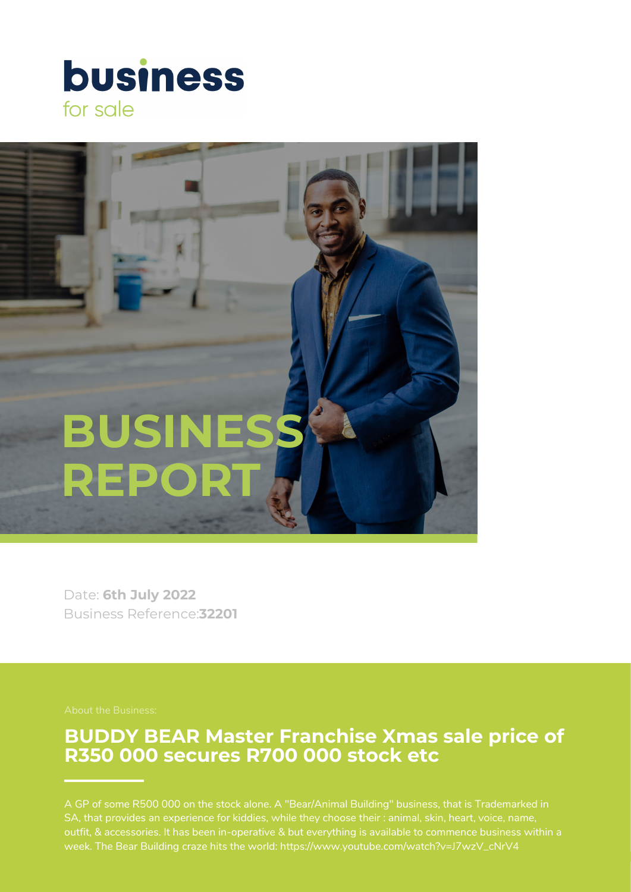# **business** for sale



Date: **6th July 2022** Business Reference:**32201**

### **BUDDY BEAR Master Franchise Xmas sale price of R350 000 secures R700 000 stock etc**

SA, that provides an experience for kiddies, while they choose their : animal, skin, heart, voice, name, outfit, & accessories. It has been in-operative & but everything is available to commence business within a week. The Bear Building craze hits the world: https://www.youtube.com/watch?v=J7wzV\_cNrV4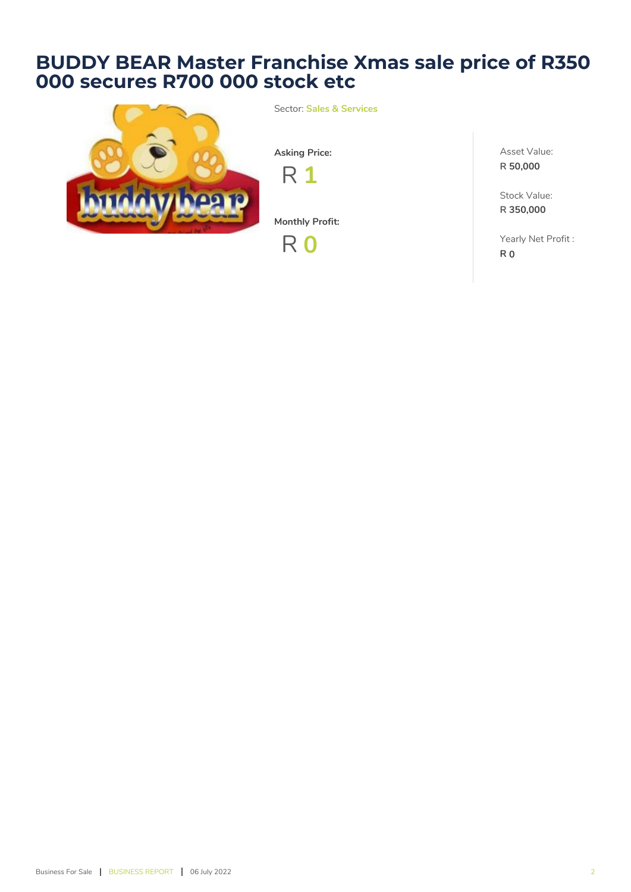## **BUDDY BEAR Master Franchise Xmas sale price of R350 000 secures R700 000 stock etc**



Sector: **Sales & Services**

**Asking Price:**

R **1**

**Monthly Profit:**

R **0**

Asset Value: **R 50,000**

Stock Value: **R 350,000**

Yearly Net Profit : **R 0**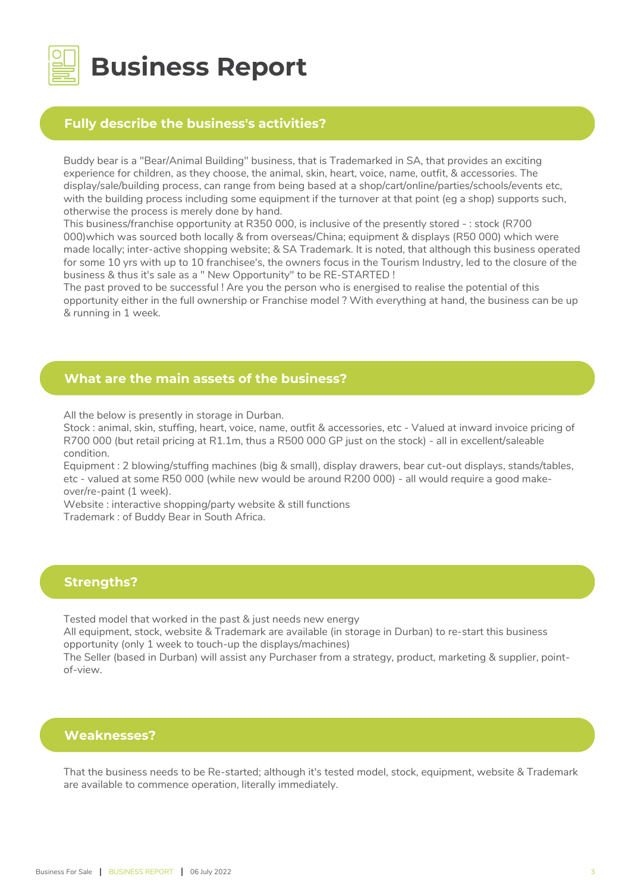

## **Business Report**

#### **Fully describe the business's activities?**

Buddy bear is a "Bear/Animal Building" business, that is Trademarked in SA, that provides an exciting experience for children, as they choose, the animal, skin, heart, voice, name, outfit, & accessories. The display/sale/building process, can range from being based at a shop/cart/online/parties/schools/events etc, with the building process including some equipment if the turnover at that point (eg a shop) supports such, otherwise the process is merely done by hand.

This business/franchise opportunity at R350 000, is inclusive of the presently stored - : stock (R700 000)which was sourced both locally & from overseas/China; equipment & displays (R50 000) which were made locally; inter-active shopping website; & SA Trademark. It is noted, that although this business operated for some 10 yrs with up to 10 franchisee's, the owners focus in the Tourism Industry, led to the closure of the business & thus it's sale as a " New Opportunity" to be RE-STARTED !

The past proved to be successful ! Are you the person who is energised to realise the potential of this opportunity either in the full ownership or Franchise model ? With everything at hand, the business can be up & running in 1 week.

#### **What are the main assets of the business?**

All the below is presently in storage in Durban.

Stock : animal, skin, stuffing, heart, voice, name, outfit & accessories, etc - Valued at inward invoice pricing of R700 000 (but retail pricing at R1.1m, thus a R500 000 GP just on the stock) - all in excellent/saleable condition.

Equipment : 2 blowing/stuffing machines (big & small), display drawers, bear cut-out displays, stands/tables, etc - valued at some R50 000 (while new would be around R200 000) - all would require a good makeover/re-paint (1 week).

Website : interactive shopping/party website & still functions

Trademark : of Buddy Bear in South Africa.

#### **Strengths?**

Tested model that worked in the past & just needs new energy

All equipment, stock, website & Trademark are available (in storage in Durban) to re-start this business opportunity (only 1 week to touch-up the displays/machines)

The Seller (based in Durban) will assist any Purchaser from a strategy, product, marketing & supplier, pointof-view.

#### **Weaknesses?**

That the business needs to be Re-started; although it's tested model, stock, equipment, website & Trademark are available to commence operation, literally immediately.